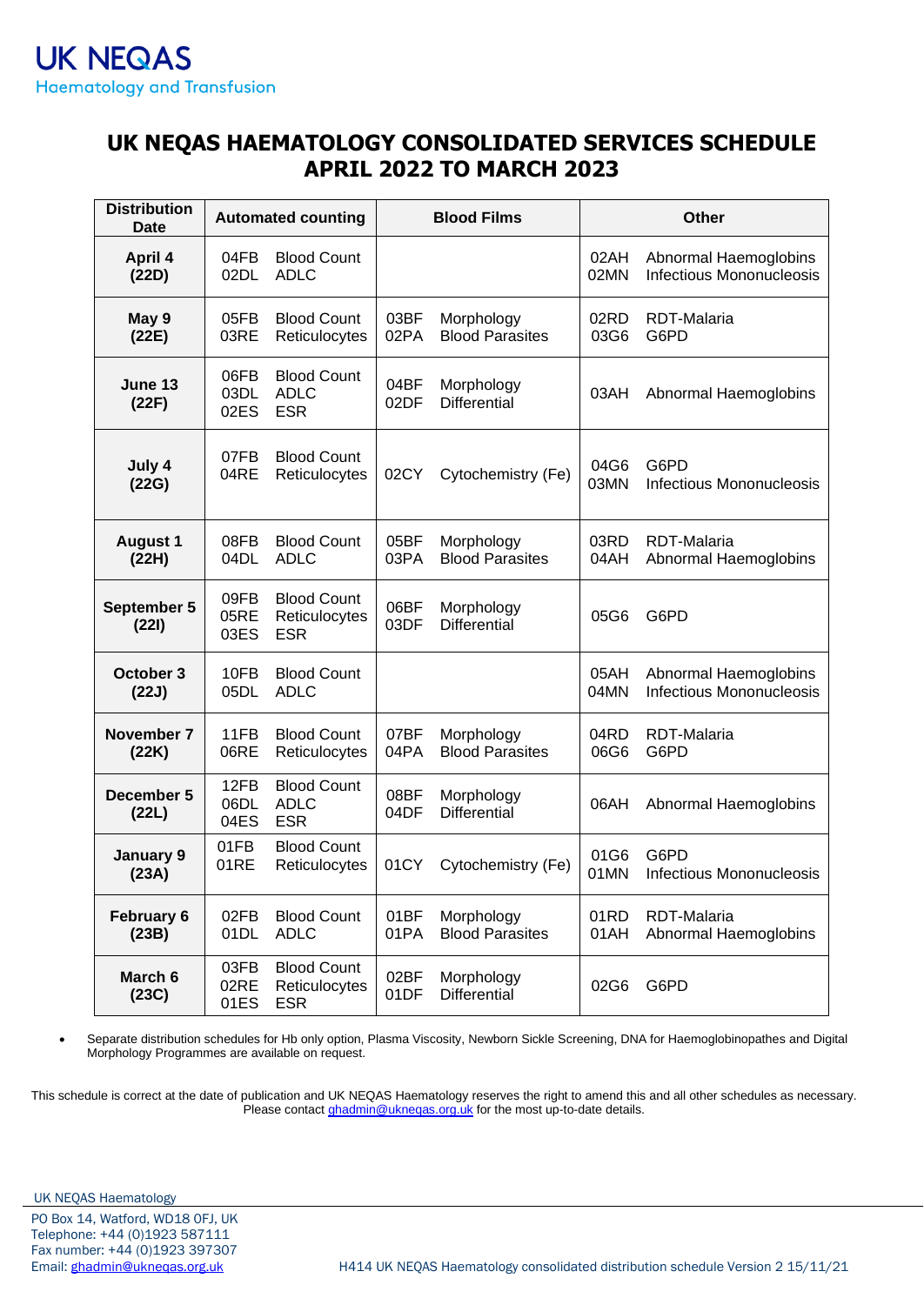#### **UK NEQAS HAEMATOLOGY CONSOLIDATED SERVICES SCHEDULE APRIL 2022 TO MARCH 2023**

| <b>Distribution</b><br>Date |                      | <b>Automated counting</b>                         | <b>Blood Films</b> |                                      | <b>Other</b> |                                                          |
|-----------------------------|----------------------|---------------------------------------------------|--------------------|--------------------------------------|--------------|----------------------------------------------------------|
| April 4<br>(22D)            | 04FB<br>02DL         | <b>Blood Count</b><br><b>ADLC</b>                 |                    |                                      | 02AH<br>02MN | Abnormal Haemoglobins<br><b>Infectious Mononucleosis</b> |
| May 9<br>(22E)              | 05FB<br>03RE         | <b>Blood Count</b><br>Reticulocytes               | 03BF<br>02PA       | Morphology<br><b>Blood Parasites</b> | 02RD<br>03G6 | <b>RDT-Malaria</b><br>G6PD                               |
| June 13<br>(22F)            | 06FB<br>03DL<br>02ES | <b>Blood Count</b><br><b>ADLC</b><br><b>ESR</b>   | 04BF<br>02DF       | Morphology<br><b>Differential</b>    | 03AH         | Abnormal Haemoglobins                                    |
| July 4<br>(22G)             | 07FB<br>04RE         | <b>Blood Count</b><br>Reticulocytes               | 02CY               | Cytochemistry (Fe)                   | 04G6<br>03MN | G6PD<br><b>Infectious Mononucleosis</b>                  |
| <b>August 1</b><br>(22H)    | 08FB<br>04DL         | <b>Blood Count</b><br><b>ADLC</b>                 | 05BF<br>03PA       | Morphology<br><b>Blood Parasites</b> | 03RD<br>04AH | RDT-Malaria<br>Abnormal Haemoglobins                     |
| September 5<br>(221)        | 09FB<br>05RE<br>03ES | <b>Blood Count</b><br>Reticulocytes<br><b>ESR</b> | 06BF<br>03DF       | Morphology<br><b>Differential</b>    | 05G6         | G6PD                                                     |
| October 3<br>(22J)          | 10FB<br>05DL         | <b>Blood Count</b><br><b>ADLC</b>                 |                    |                                      | 05AH<br>04MN | Abnormal Haemoglobins<br><b>Infectious Mononucleosis</b> |
| November 7<br>(22K)         | 11FB<br>06RE         | <b>Blood Count</b><br>Reticulocytes               | 07BF<br>04PA       | Morphology<br><b>Blood Parasites</b> | 04RD<br>06G6 | <b>RDT-Malaria</b><br>G6PD                               |
| December 5<br>(22L)         | 12FB<br>06DL<br>04ES | <b>Blood Count</b><br><b>ADLC</b><br><b>ESR</b>   | 08BF<br>04DF       | Morphology<br><b>Differential</b>    | 06AH         | Abnormal Haemoglobins                                    |
| January 9<br>(23A)          | 01FB<br>01RE         | <b>Blood Count</b><br>Reticulocytes               | 01CY               | Cytochemistry (Fe)                   | 01G6<br>01MN | G6PD<br><b>Infectious Mononucleosis</b>                  |
| February 6<br>(23B)         | 02FB<br>01DL         | <b>Blood Count</b><br><b>ADLC</b>                 | 01BF<br>01PA       | Morphology<br><b>Blood Parasites</b> | 01RD<br>01AH | RDT-Malaria<br>Abnormal Haemoglobins                     |
| March 6<br>(23C)            | 03FB<br>02RE<br>01ES | <b>Blood Count</b><br>Reticulocytes<br><b>ESR</b> | 02BF<br>01DF       | Morphology<br>Differential           | 02G6         | G6PD                                                     |

• Separate distribution schedules for Hb only option, Plasma Viscosity, Newborn Sickle Screening, DNA for Haemoglobinopathes and Digital Morphology Programmes are available on request.

This schedule is correct at the date of publication and UK NEQAS Haematology reserves the right to amend this and all other schedules as necessary. Please contact *ghadmin@ukneqas.org.uk* for the most up-to-date details.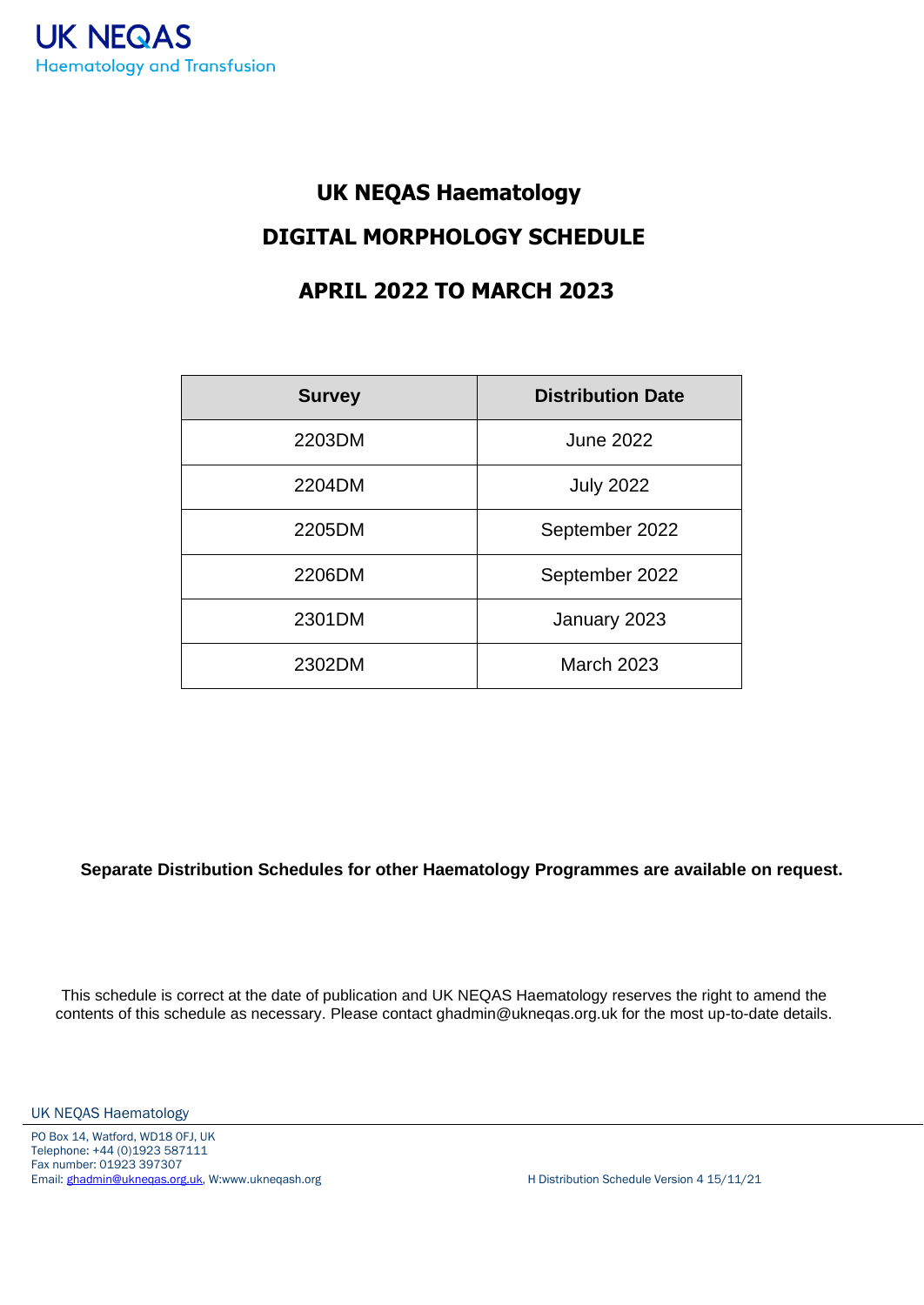# **UK NEQAS Haematology DIGITAL MORPHOLOGY SCHEDULE**

#### **APRIL 2022 TO MARCH 2023**

| <b>Survey</b> | <b>Distribution Date</b> |
|---------------|--------------------------|
| 2203DM        | <b>June 2022</b>         |
| 2204DM        | <b>July 2022</b>         |
| 2205DM        | September 2022           |
| 2206DM        | September 2022           |
| 2301DM        | January 2023             |
| 2302DM        | <b>March 2023</b>        |

**Separate Distribution Schedules for other Haematology Programmes are available on request.**

This schedule is correct at the date of publication and UK NEQAS Haematology reserves the right to amend the contents of this schedule as necessary. Please contact ghadmin@ukneqas.org.uk for the most up-to-date details.

UK NEQAS Haematology

PO Box 14, Watford, WD18 0FJ, UK Telephone: +44 (0)1923 587111 Fax number: 01923 397307 Email: [ghadmin@ukneqas.org.uk,](mailto:ghadmin@ukneqas.org.uk) W:www.ukneqash.org H Distribution Schedule Version 4 15/11/21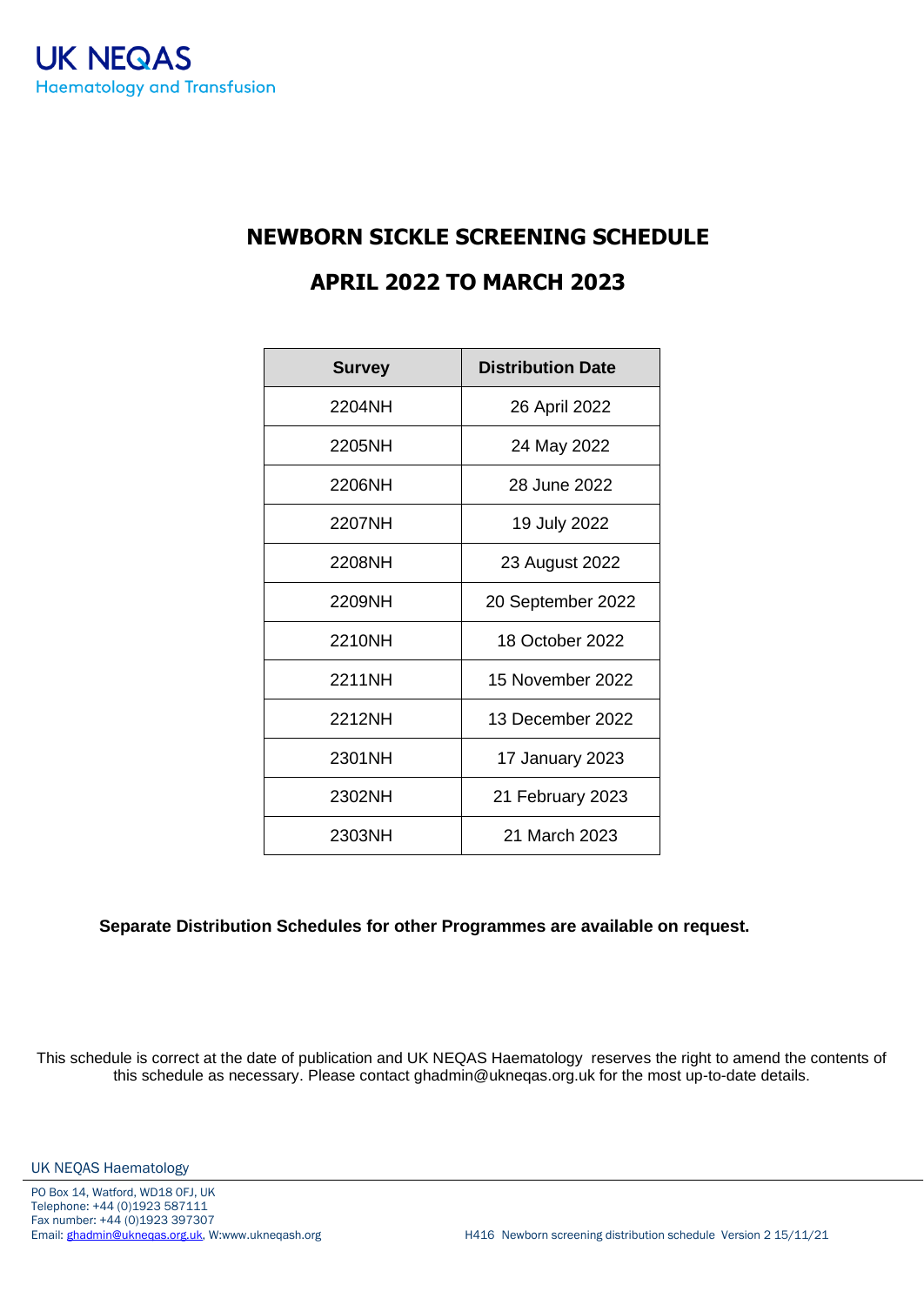### **NEWBORN SICKLE SCREENING SCHEDULE APRIL 2022 TO MARCH 2023**

| <b>Survey</b> | <b>Distribution Date</b> |
|---------------|--------------------------|
| 2204NH        | 26 April 2022            |
| 2205NH        | 24 May 2022              |
| 2206NH        | 28 June 2022             |
| 2207NH        | 19 July 2022             |
| 2208NH        | 23 August 2022           |
| 2209NH        | 20 September 2022        |
| 2210NH        | 18 October 2022          |
| 2211NH        | 15 November 2022         |
| 2212NH        | 13 December 2022         |
| 2301NH        | 17 January 2023          |
| 2302NH        | 21 February 2023         |
| 2303NH        | 21 March 2023            |

#### **Separate Distribution Schedules for other Programmes are available on request.**

This schedule is correct at the date of publication and UK NEQAS Haematology reserves the right to amend the contents of this schedule as necessary. Please contact ghadmin@ukneqas.org.uk for the most up-to-date details.

UK NEQAS Haematology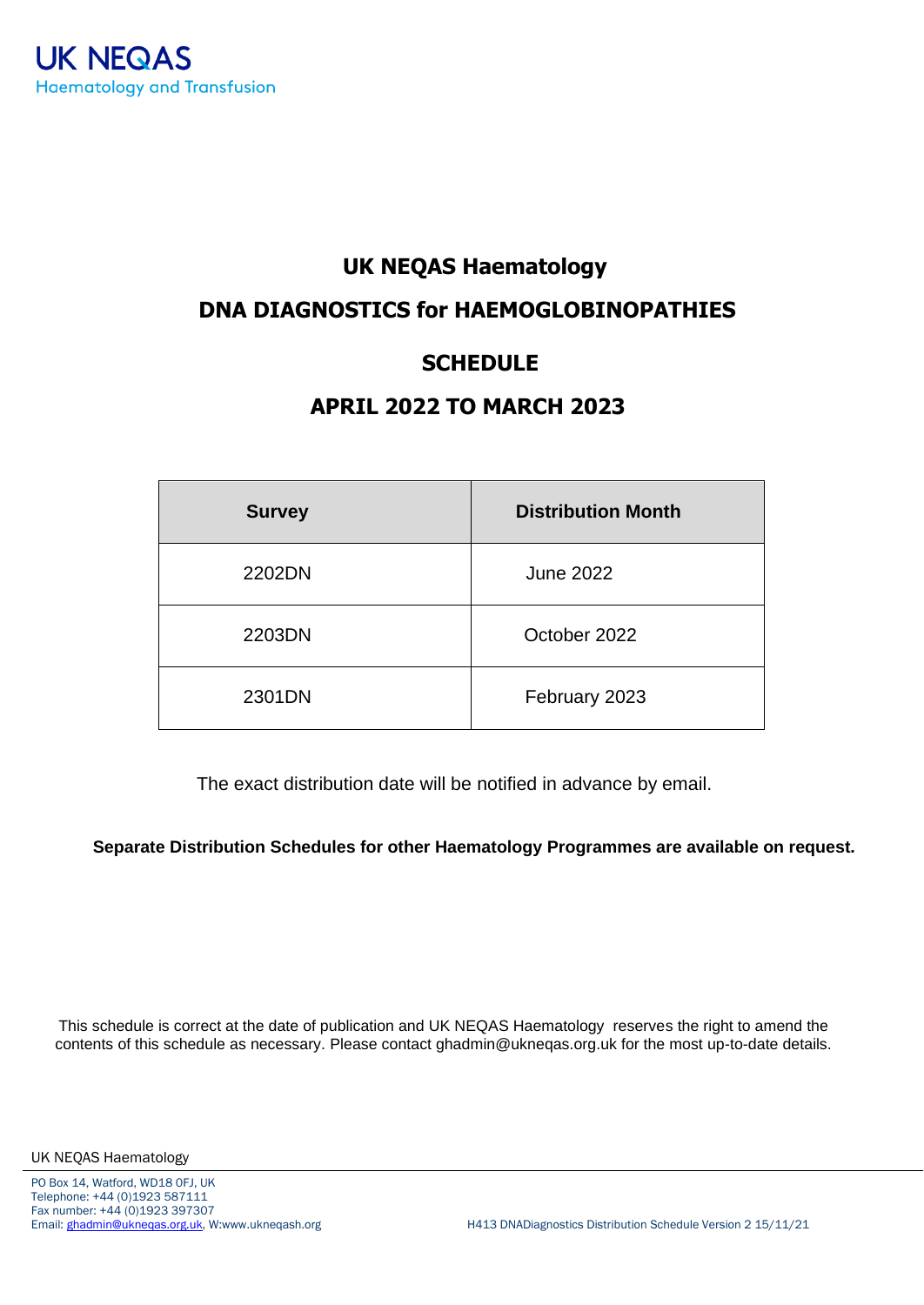#### **UK NEQAS Haematology**

#### **DNA DIAGNOSTICS for HAEMOGLOBINOPATHIES**

#### **SCHEDULE**

#### **APRIL 2022 TO MARCH 2023**

| <b>Survey</b> | <b>Distribution Month</b> |
|---------------|---------------------------|
| 2202DN        | <b>June 2022</b>          |
| 2203DN        | October 2022              |
| 2301DN        | February 2023             |

The exact distribution date will be notified in advance by email.

**Separate Distribution Schedules for other Haematology Programmes are available on request.**

This schedule is correct at the date of publication and UK NEQAS Haematology reserves the right to amend the contents of this schedule as necessary. Please contact ghadmin@ukneqas.org.uk for the most up-to-date details.

UK NEQAS Haematology